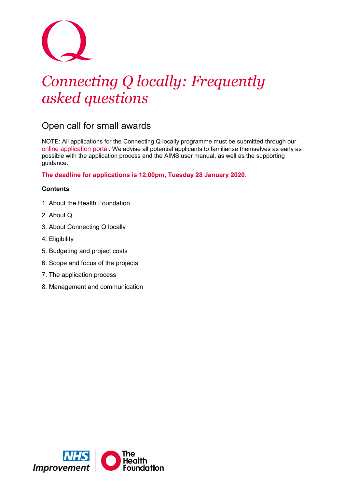# *Connecting Q locally: Frequently asked questions*

# Open call for small awards

NOTE: All applications for the Connecting Q locally programme must be submitted through our [online application portal.](http://www.aims.health.org.uk/) We advise all potential applicants to familiarise themselves as early as possible with the application process and the AIMS user manual, as well as the supporting guidance.

**The deadline for applications is 12.00pm, Tuesday 28 January 2020.**

# **Contents**

- 1. About the Health Foundation
- 2. About Q
- 3. About Connecting Q locally
- 4. Eligibility
- 5. Budgeting and project costs
- 6. Scope and focus of the projects
- 7. The application process
- 8. Management and communication

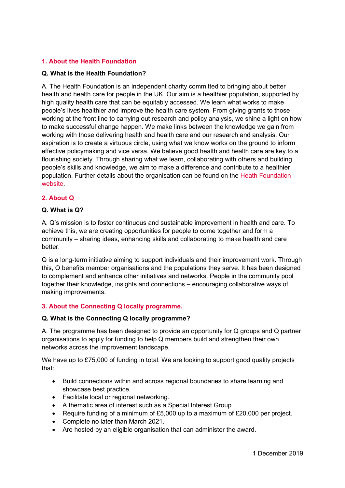# **1. About the Health Foundation**

# **Q. What is the Health Foundation?**

A. The Health Foundation is an independent charity committed to bringing about better health and health care for people in the UK. Our aim is a healthier population, supported by high quality health care that can be equitably accessed. We learn what works to make people's lives healthier and improve the health care system. From giving grants to those working at the front line to carrying out research and policy analysis, we shine a light on how to make successful change happen. We make links between the knowledge we gain from working with those delivering health and health care and our research and analysis. Our aspiration is to create a virtuous circle, using what we know works on the ground to inform effective policymaking and vice versa. We believe good health and health care are key to a flourishing society. Through sharing what we learn, collaborating with others and building people's skills and knowledge, we aim to make a difference and contribute to a healthier population. Further details about the organisation can be found on the [Heath Foundation](http://www.health.org.uk/)  [website.](http://www.health.org.uk/)

# **2. About Q**

# **Q. What is Q?**

A. Q's mission is to foster continuous and sustainable improvement in health and care. To achieve this, we are creating opportunities for people to come together and form a community – sharing ideas, enhancing skills and collaborating to make health and care better.

Q is a long-term initiative aiming to support individuals and their improvement work. Through this, Q benefits member organisations and the populations they serve. It has been designed to complement and enhance other initiatives and networks. People in the community pool together their knowledge, insights and connections – encouraging collaborative ways of making improvements.

# **3. About the Connecting Q locally programme.**

#### **Q. What is the Connecting Q locally programme?**

A. The programme has been designed to provide an opportunity for Q groups and Q partner organisations to apply for funding to help Q members build and strengthen their own networks across the improvement landscape.

We have up to £75,000 of funding in total. We are looking to support good quality projects that:

- Build connections within and across regional boundaries to share learning and showcase best practice.
- Facilitate local or regional networking.
- A thematic area of interest such as a Special Interest Group.
- Require funding of a minimum of £5,000 up to a maximum of £20,000 per project.
- Complete no later than March 2021.
- Are hosted by an eligible organisation that can administer the award.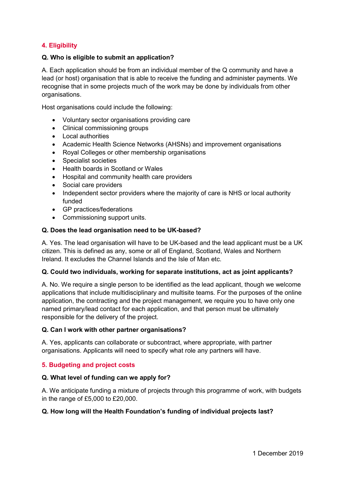# **4. Eligibility**

#### **Q. Who is eligible to submit an application?**

A. Each application should be from an individual member of the Q community and have a lead (or host) organisation that is able to receive the funding and administer payments. We recognise that in some projects much of the work may be done by individuals from other organisations.

Host organisations could include the following:

- Voluntary sector organisations providing care
- Clinical commissioning groups
- Local authorities
- Academic Health Science Networks (AHSNs) and improvement organisations
- Royal Colleges or other membership organisations
- Specialist societies
- Health boards in Scotland or Wales
- Hospital and community health care providers
- Social care providers
- Independent sector providers where the majority of care is NHS or local authority funded
- GP practices/federations
- Commissioning support units.

#### **Q. Does the lead organisation need to be UK-based?**

A. Yes. The lead organisation will have to be UK-based and the lead applicant must be a UK citizen. This is defined as any, some or all of England, Scotland, Wales and Northern Ireland. It excludes the Channel Islands and the Isle of Man etc.

#### **Q. Could two individuals, working for separate institutions, act as joint applicants?**

A. No. We require a single person to be identified as the lead applicant, though we welcome applications that include multidisciplinary and multisite teams. For the purposes of the online application, the contracting and the project management, we require you to have only one named primary/lead contact for each application, and that person must be ultimately responsible for the delivery of the project.

#### **Q. Can I work with other partner organisations?**

A. Yes, applicants can collaborate or subcontract, where appropriate, with partner organisations. Applicants will need to specify what role any partners will have.

#### **5. Budgeting and project costs**

#### **Q. What level of funding can we apply for?**

A. We anticipate funding a mixture of projects through this programme of work, with budgets in the range of £5,000 to £20,000.

#### **Q. How long will the Health Foundation's funding of individual projects last?**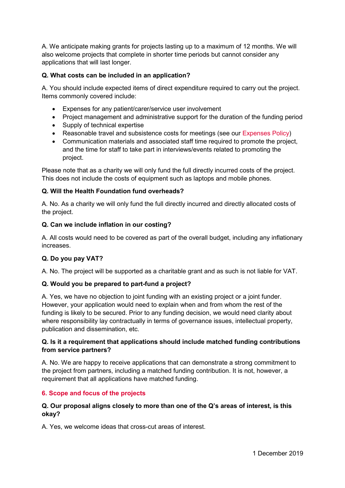A. We anticipate making grants for projects lasting up to a maximum of 12 months. We will also welcome projects that complete in shorter time periods but cannot consider any applications that will last longer.

# **Q. What costs can be included in an application?**

A. You should include expected items of direct expenditure required to carry out the project. Items commonly covered include:

- Expenses for any patient/carer/service user involvement
- Project management and administrative support for the duration of the funding period
- Supply of technical expertise
- Reasonable travel and subsistence costs for meetings (see our [Expenses Policy\)](https://s20056.pcdn.co/wp-content/uploads/2018/08/Q-Expense-Policy.pdf)
- Communication materials and associated staff time required to promote the project, and the time for staff to take part in interviews/events related to promoting the project.

Please note that as a charity we will only fund the full directly incurred costs of the project. This does not include the costs of equipment such as laptops and mobile phones.

# **Q. Will the Health Foundation fund overheads?**

A. No. As a charity we will only fund the full directly incurred and directly allocated costs of the project.

#### **Q. Can we include inflation in our costing?**

A. All costs would need to be covered as part of the overall budget, including any inflationary increases.

# **Q. Do you pay VAT?**

A. No. The project will be supported as a charitable grant and as such is not liable for VAT.

#### **Q. Would you be prepared to part-fund a project?**

A. Yes, we have no objection to joint funding with an existing project or a joint funder. However, your application would need to explain when and from whom the rest of the funding is likely to be secured. Prior to any funding decision, we would need clarity about where responsibility lay contractually in terms of governance issues, intellectual property, publication and dissemination, etc.

# **Q. Is it a requirement that applications should include matched funding contributions from service partners?**

A. No. We are happy to receive applications that can demonstrate a strong commitment to the project from partners, including a matched funding contribution. It is not, however, a requirement that all applications have matched funding.

# **6. Scope and focus of the projects**

# **Q. Our proposal aligns closely to more than one of the Q's areas of interest, is this okay?**

A. Yes, we welcome ideas that cross-cut areas of interest.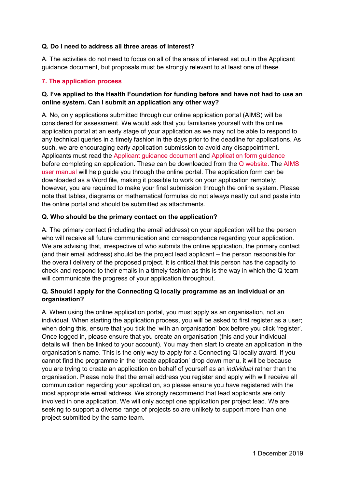# **Q. Do I need to address all three areas of interest?**

A. The activities do not need to focus on all of the areas of interest set out in the Applicant guidance document, but proposals must be strongly relevant to at least one of these.

# **7. The application process**

# **Q. I've applied to the Health Foundation for funding before and have not had to use an online system. Can I submit an application any other way?**

A. No, only applications submitted through our online application portal (AIMS) will be considered for assessment. We would ask that you familiarise yourself with the online application portal at an early stage of your application as we may not be able to respond to any technical queries in a timely fashion in the days prior to the deadline for applications. As such, we are encouraging early application submission to avoid any disappointment. Applicants must read the [Applicant guidance document](https://q.health.org.uk/wp-content/uploads/2018/12/Connecting-Q-locally-applicant-guidance-doc.pdf) and Application [form guidance](https://q.health.org.uk/wp-content/uploads/2018/12/Connecting-Q-locally-application-form-guidance.pdf) before completing an application. These can be downloaded from the [Q website.](https://q.health.org.uk/) The [AIMS](https://www.health.org.uk/sites/default/files/2018-11/aims-applicant-user-guide-v5.0.pdf)  [user manual](https://www.health.org.uk/sites/default/files/2018-11/aims-applicant-user-guide-v5.0.pdf) will help guide you through the online portal. The application form can be downloaded as a Word file, making it possible to work on your application remotely; however, you are required to make your final submission through the online system. Please note that tables, diagrams or mathematical formulas do not always neatly cut and paste into the online portal and should be submitted as attachments.

# **Q. Who should be the primary contact on the application?**

A. The primary contact (including the email address) on your application will be the person who will receive all future communication and correspondence regarding your application. We are advising that, irrespective of who submits the online application, the primary contact (and their email address) should be the project lead applicant – the person responsible for the overall delivery of the proposed project. It is critical that this person has the capacity to check and respond to their emails in a timely fashion as this is the way in which the Q team will communicate the progress of your application throughout.

# **Q. Should I apply for the Connecting Q locally programme as an individual or an organisation?**

A. When using the online application portal, you must apply as an organisation, not an individual. When starting the application process, you will be asked to first register as a user; when doing this, ensure that you tick the 'with an organisation' box before you click 'register'. Once logged in, please ensure that you create an organisation (this and your individual details will then be linked to your account). You may then start to create an application in the organisation's name. This is the only way to apply for a Connecting Q locally award. If you cannot find the programme in the 'create application' drop down menu, it will be because you are trying to create an application on behalf of yourself as an *individual* rather than the organisation. Please note that the email address you register and apply with will receive all communication regarding your application, so please ensure you have registered with the most appropriate email address. We strongly recommend that lead applicants are only involved in one application. We will only accept one application per project lead. We are seeking to support a diverse range of projects so are unlikely to support more than one project submitted by the same team.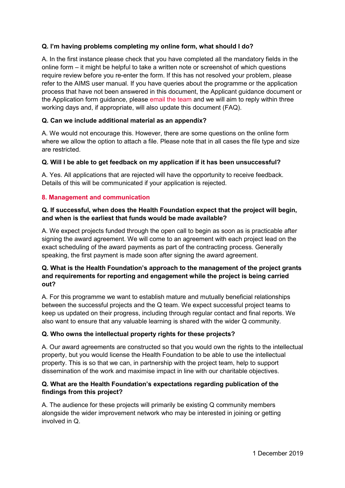# **Q. I'm having problems completing my online form, what should I do?**

A. In the first instance please check that you have completed all the mandatory fields in the online form – it might be helpful to take a written note or screenshot of which questions require review before you re-enter the form. If this has not resolved your problem, please refer to the AIMS user manual. If you have queries about the programme or the application process that have not been answered in this document, the Applicant guidance document or the Application form guidance, please [email the team](mailto:Q@health.org.uk) and we will aim to reply within three working days and, if appropriate, will also update this document (FAQ).

# **Q. Can we include additional material as an appendix?**

A. We would not encourage this. However, there are some questions on the online form where we allow the option to attach a file. Please note that in all cases the file type and size are restricted.

#### **Q. Will I be able to get feedback on my application if it has been unsuccessful?**

A. Yes. All applications that are rejected will have the opportunity to receive feedback. Details of this will be communicated if your application is rejected.

#### **8. Management and communication**

#### **Q. If successful, when does the Health Foundation expect that the project will begin, and when is the earliest that funds would be made available?**

A. We expect projects funded through the open call to begin as soon as is practicable after signing the award agreement. We will come to an agreement with each project lead on the exact scheduling of the award payments as part of the contracting process. Generally speaking, the first payment is made soon after signing the award agreement.

# **Q. What is the Health Foundation's approach to the management of the project grants and requirements for reporting and engagement while the project is being carried out?**

A. For this programme we want to establish mature and mutually beneficial relationships between the successful projects and the Q team. We expect successful project teams to keep us updated on their progress, including through regular contact and final reports. We also want to ensure that any valuable learning is shared with the wider Q community.

#### **Q. Who owns the intellectual property rights for these projects?**

A. Our award agreements are constructed so that you would own the rights to the intellectual property, but you would license the Health Foundation to be able to use the intellectual property. This is so that we can, in partnership with the project team, help to support dissemination of the work and maximise impact in line with our charitable objectives.

#### **Q. What are the Health Foundation's expectations regarding publication of the findings from this project?**

A. The audience for these projects will primarily be existing Q community members alongside the wider improvement network who may be interested in joining or getting involved in Q.